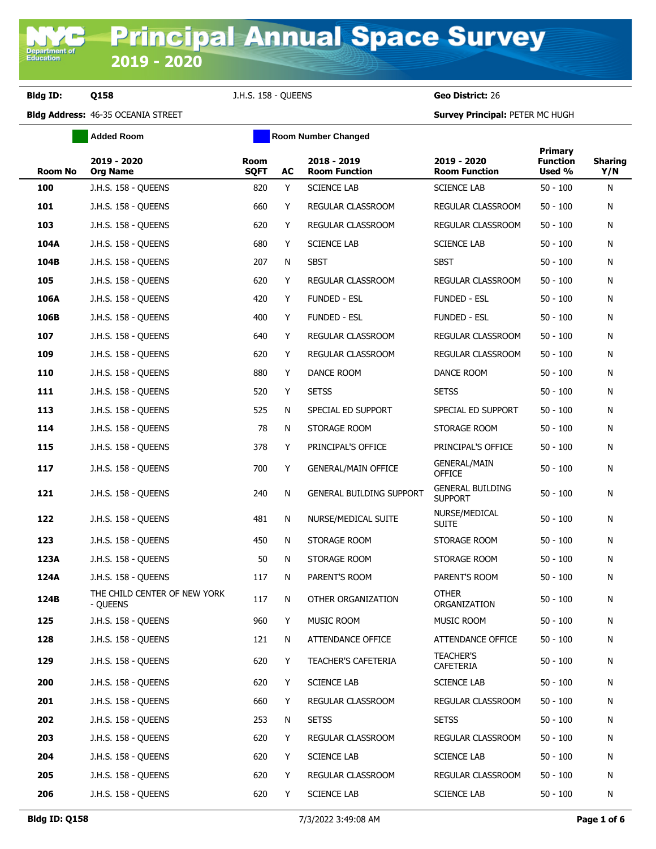**Department of**<br>Education

**Bldg ID: Q158** J.H.S. 158 - QUEENS **Geo District:** 26

**Bldg Address:** 46-35 OCEANIA STREET **Survey Principal:** PETER MC HUGH

|                | <b>Added Room</b>                        |                     |    | <b>Room Number Changed</b>          |                                           |                                      |                       |
|----------------|------------------------------------------|---------------------|----|-------------------------------------|-------------------------------------------|--------------------------------------|-----------------------|
| <b>Room No</b> | 2019 - 2020<br><b>Org Name</b>           | Room<br><b>SQFT</b> | AC | 2018 - 2019<br><b>Room Function</b> | 2019 - 2020<br><b>Room Function</b>       | Primary<br><b>Function</b><br>Used % | <b>Sharing</b><br>Y/N |
| 100            | J.H.S. 158 - QUEENS                      | 820                 | Y  | <b>SCIENCE LAB</b>                  | <b>SCIENCE LAB</b>                        | $50 - 100$                           | N                     |
| 101            | J.H.S. 158 - OUEENS                      | 660                 | Y  | REGULAR CLASSROOM                   | REGULAR CLASSROOM                         | $50 - 100$                           | N                     |
| 103            | J.H.S. 158 - QUEENS                      | 620                 | Y  | REGULAR CLASSROOM                   | REGULAR CLASSROOM                         | $50 - 100$                           | N                     |
| 104A           | J.H.S. 158 - OUEENS                      | 680                 | Y  | <b>SCIENCE LAB</b>                  | <b>SCIENCE LAB</b>                        | $50 - 100$                           | N                     |
| 104B           | J.H.S. 158 - QUEENS                      | 207                 | N  | <b>SBST</b>                         | <b>SBST</b>                               | $50 - 100$                           | N                     |
| 105            | J.H.S. 158 - QUEENS                      | 620                 | Y  | <b>REGULAR CLASSROOM</b>            | REGULAR CLASSROOM                         | $50 - 100$                           | N                     |
| 106A           | J.H.S. 158 - QUEENS                      | 420                 | Y  | <b>FUNDED - ESL</b>                 | <b>FUNDED - ESL</b>                       | $50 - 100$                           | N                     |
| 106B           | J.H.S. 158 - QUEENS                      | 400                 | Y  | <b>FUNDED - ESL</b>                 | <b>FUNDED - ESL</b>                       | $50 - 100$                           | N                     |
| 107            | J.H.S. 158 - QUEENS                      | 640                 | Y  | REGULAR CLASSROOM                   | REGULAR CLASSROOM                         | $50 - 100$                           | N                     |
| 109            | J.H.S. 158 - OUEENS                      | 620                 | Y  | <b>REGULAR CLASSROOM</b>            | REGULAR CLASSROOM                         | $50 - 100$                           | N                     |
| 110            | J.H.S. 158 - OUEENS                      | 880                 | Y  | DANCE ROOM                          | DANCE ROOM                                | $50 - 100$                           | N                     |
| 111            | J.H.S. 158 - OUEENS                      | 520                 | Y  | <b>SETSS</b>                        | <b>SETSS</b>                              | $50 - 100$                           | N                     |
| 113            | J.H.S. 158 - QUEENS                      | 525                 | N  | SPECIAL ED SUPPORT                  | SPECIAL ED SUPPORT                        | $50 - 100$                           | N                     |
| 114            | J.H.S. 158 - QUEENS                      | 78                  | N  | STORAGE ROOM                        | STORAGE ROOM                              | $50 - 100$                           | N                     |
| 115            | J.H.S. 158 - QUEENS                      | 378                 | Y  | PRINCIPAL'S OFFICE                  | PRINCIPAL'S OFFICE                        | $50 - 100$                           | N                     |
| 117            | J.H.S. 158 - QUEENS                      | 700                 | Y  | <b>GENERAL/MAIN OFFICE</b>          | <b>GENERAL/MAIN</b><br><b>OFFICE</b>      | $50 - 100$                           | N                     |
| 121            | J.H.S. 158 - QUEENS                      | 240                 | N  | <b>GENERAL BUILDING SUPPORT</b>     | <b>GENERAL BUILDING</b><br><b>SUPPORT</b> | $50 - 100$                           | N                     |
| 122            | J.H.S. 158 - QUEENS                      | 481                 | N  | NURSE/MEDICAL SUITE                 | NURSE/MEDICAL<br><b>SUITE</b>             | $50 - 100$                           | N                     |
| 123            | J.H.S. 158 - QUEENS                      | 450                 | N  | STORAGE ROOM                        | STORAGE ROOM                              | $50 - 100$                           | N                     |
| 123A           | J.H.S. 158 - QUEENS                      | 50                  | N  | STORAGE ROOM                        | STORAGE ROOM                              | $50 - 100$                           | N                     |
| 124A           | J.H.S. 158 - QUEENS                      | 117                 | N  | PARENT'S ROOM                       | PARENT'S ROOM                             | $50 - 100$                           | N                     |
| 124B           | THE CHILD CENTER OF NEW YORK<br>- QUEENS | 117                 | N  | OTHER ORGANIZATION                  | <b>OTHER</b><br>ORGANIZATION              | $50 - 100$                           | N                     |
| 125            | J.H.S. 158 - QUEENS                      | 960                 | Y  | MUSIC ROOM                          | MUSIC ROOM                                | $50 - 100$                           | N                     |
| 128            | J.H.S. 158 - QUEENS                      | 121                 | N  | ATTENDANCE OFFICE                   | ATTENDANCE OFFICE                         | $50 - 100$                           | N                     |
| 129            | J.H.S. 158 - QUEENS                      | 620                 | Y  | <b>TEACHER'S CAFETERIA</b>          | <b>TEACHER'S</b><br>CAFETERIA             | $50 - 100$                           | N                     |
| 200            | J.H.S. 158 - QUEENS                      | 620                 | Y  | <b>SCIENCE LAB</b>                  | SCIENCE LAB                               | $50 - 100$                           | N                     |
| 201            | J.H.S. 158 - OUEENS                      | 660                 | Y  | REGULAR CLASSROOM                   | REGULAR CLASSROOM                         | $50 - 100$                           | N                     |
| 202            | J.H.S. 158 - QUEENS                      | 253                 | N  | <b>SETSS</b>                        | <b>SETSS</b>                              | $50 - 100$                           | N                     |
| 203            | J.H.S. 158 - QUEENS                      | 620                 | Y  | REGULAR CLASSROOM                   | REGULAR CLASSROOM                         | $50 - 100$                           | N                     |
| 204            | J.H.S. 158 - QUEENS                      | 620                 | Y  | <b>SCIENCE LAB</b>                  | <b>SCIENCE LAB</b>                        | $50 - 100$                           | N                     |
| 205            | J.H.S. 158 - QUEENS                      | 620                 | Y  | REGULAR CLASSROOM                   | REGULAR CLASSROOM                         | $50 - 100$                           | N                     |
| 206            | J.H.S. 158 - QUEENS                      | 620                 | Y  | <b>SCIENCE LAB</b>                  | <b>SCIENCE LAB</b>                        | $50 - 100$                           | N                     |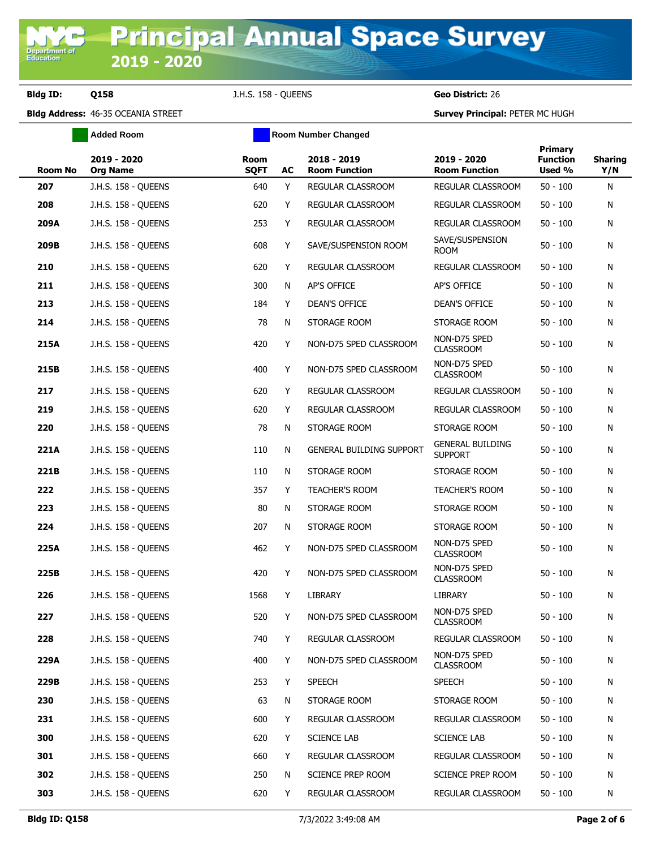**Bldg ID: Q158** J.H.S. 158 - QUEENS **Geo District:** 26

**Added Room Room Room Number Changed** 

**Bldg Address:** 46-35 OCEANIA STREET **Survey Principal:** PETER MC HUGH

| <b>Room No</b> | 2019 - 2020<br><b>Org Name</b> | <b>Room</b><br><b>SQFT</b> | AC | 2018 - 2019<br><b>Room Function</b> | 2019 - 2020<br><b>Room Function</b>       | Primary<br><b>Function</b><br>Used % | <b>Sharing</b><br>Y/N |
|----------------|--------------------------------|----------------------------|----|-------------------------------------|-------------------------------------------|--------------------------------------|-----------------------|
| 207            | J.H.S. 158 - QUEENS            | 640                        | Y  | REGULAR CLASSROOM                   | REGULAR CLASSROOM                         | $50 - 100$                           | N                     |
| 208            | J.H.S. 158 - OUEENS            | 620                        | Y  | REGULAR CLASSROOM                   | REGULAR CLASSROOM                         | $50 - 100$                           | N                     |
| 209A           | J.H.S. 158 - QUEENS            | 253                        | Y  | REGULAR CLASSROOM                   | REGULAR CLASSROOM                         | $50 - 100$                           | N                     |
| 209B           | J.H.S. 158 - QUEENS            | 608                        | Y  | SAVE/SUSPENSION ROOM                | SAVE/SUSPENSION<br><b>ROOM</b>            | $50 - 100$                           | N                     |
| 210            | J.H.S. 158 - QUEENS            | 620                        | Y  | <b>REGULAR CLASSROOM</b>            | REGULAR CLASSROOM                         | $50 - 100$                           | N                     |
| 211            | J.H.S. 158 - QUEENS            | 300                        | N  | AP'S OFFICE                         | <b>AP'S OFFICE</b>                        | $50 - 100$                           | N                     |
| 213            | J.H.S. 158 - QUEENS            | 184                        | Y  | DEAN'S OFFICE                       | DEAN'S OFFICE                             | $50 - 100$                           | N                     |
| 214            | J.H.S. 158 - QUEENS            | 78                         | N  | STORAGE ROOM                        | STORAGE ROOM                              | $50 - 100$                           | N                     |
| 215A           | J.H.S. 158 - QUEENS            | 420                        | Y  | NON-D75 SPED CLASSROOM              | NON-D75 SPED<br><b>CLASSROOM</b>          | $50 - 100$                           | N                     |
| 215B           | J.H.S. 158 - QUEENS            | 400                        | Y  | NON-D75 SPED CLASSROOM              | NON-D75 SPED<br><b>CLASSROOM</b>          | $50 - 100$                           | Ν                     |
| 217            | J.H.S. 158 - QUEENS            | 620                        | Y  | REGULAR CLASSROOM                   | REGULAR CLASSROOM                         | $50 - 100$                           | N                     |
| 219            | J.H.S. 158 - OUEENS            | 620                        | Y  | REGULAR CLASSROOM                   | <b>REGULAR CLASSROOM</b>                  | $50 - 100$                           | N                     |
| 220            | J.H.S. 158 - QUEENS            | 78                         | N  | STORAGE ROOM                        | STORAGE ROOM                              | $50 - 100$                           | N                     |
| 221A           | J.H.S. 158 - QUEENS            | 110                        | N  | <b>GENERAL BUILDING SUPPORT</b>     | <b>GENERAL BUILDING</b><br><b>SUPPORT</b> | $50 - 100$                           | N                     |
| 221B           | J.H.S. 158 - QUEENS            | 110                        | N  | STORAGE ROOM                        | STORAGE ROOM                              | $50 - 100$                           | N                     |
| 222            | J.H.S. 158 - QUEENS            | 357                        | Y  | TEACHER'S ROOM                      | TEACHER'S ROOM                            | $50 - 100$                           | N                     |
| 223            | J.H.S. 158 - QUEENS            | 80                         | N  | STORAGE ROOM                        | STORAGE ROOM                              | $50 - 100$                           | N                     |
| 224            | J.H.S. 158 - QUEENS            | 207                        | N  | STORAGE ROOM                        | STORAGE ROOM                              | $50 - 100$                           | N                     |
| 225A           | J.H.S. 158 - QUEENS            | 462                        | Y  | NON-D75 SPED CLASSROOM              | NON-D75 SPED<br><b>CLASSROOM</b>          | $50 - 100$                           | N                     |
| 225B           | J.H.S. 158 - OUEENS            | 420                        | Y  | NON-D75 SPED CLASSROOM              | NON-D75 SPED<br><b>CLASSROOM</b>          | $50 - 100$                           | N                     |
| 226            | J.H.S. 158 - QUEENS            | 1568                       | Y  | <b>LIBRARY</b>                      | <b>LIBRARY</b>                            | $50 - 100$                           | N                     |
| 227            | J.H.S. 158 - OUEENS            | 520                        | Y  | NON-D75 SPED CLASSROOM              | NON-D75 SPED<br><b>CLASSROOM</b>          | $50 - 100$                           | Ν                     |
| 228            | J.H.S. 158 - OUEENS            | 740                        | Y  | REGULAR CLASSROOM                   | REGULAR CLASSROOM                         | $50 - 100$                           | N                     |
| 229A           | J.H.S. 158 - QUEENS            | 400                        | Y  | NON-D75 SPED CLASSROOM              | NON-D75 SPED<br><b>CLASSROOM</b>          | $50 - 100$                           | N                     |
| 229B           | J.H.S. 158 - OUEENS            | 253                        | Y  | <b>SPEECH</b>                       | <b>SPEECH</b>                             | $50 - 100$                           | N                     |
| 230            | J.H.S. 158 - QUEENS            | 63                         | N  | STORAGE ROOM                        | STORAGE ROOM                              | $50 - 100$                           | N                     |
| 231            | J.H.S. 158 - QUEENS            | 600                        | Y  | REGULAR CLASSROOM                   | REGULAR CLASSROOM                         | $50 - 100$                           | N                     |
| 300            | J.H.S. 158 - OUEENS            | 620                        | Y  | <b>SCIENCE LAB</b>                  | <b>SCIENCE LAB</b>                        | $50 - 100$                           | N                     |
| 301            | J.H.S. 158 - QUEENS            | 660                        | Y  | REGULAR CLASSROOM                   | REGULAR CLASSROOM                         | $50 - 100$                           | N                     |
| 302            | J.H.S. 158 - QUEENS            | 250                        | N  | SCIENCE PREP ROOM                   | SCIENCE PREP ROOM                         | $50 - 100$                           | N                     |
| 303            | J.H.S. 158 - QUEENS            | 620                        | Y  | REGULAR CLASSROOM                   | REGULAR CLASSROOM                         | $50 - 100$                           | N                     |
|                |                                |                            |    |                                     |                                           |                                      |                       |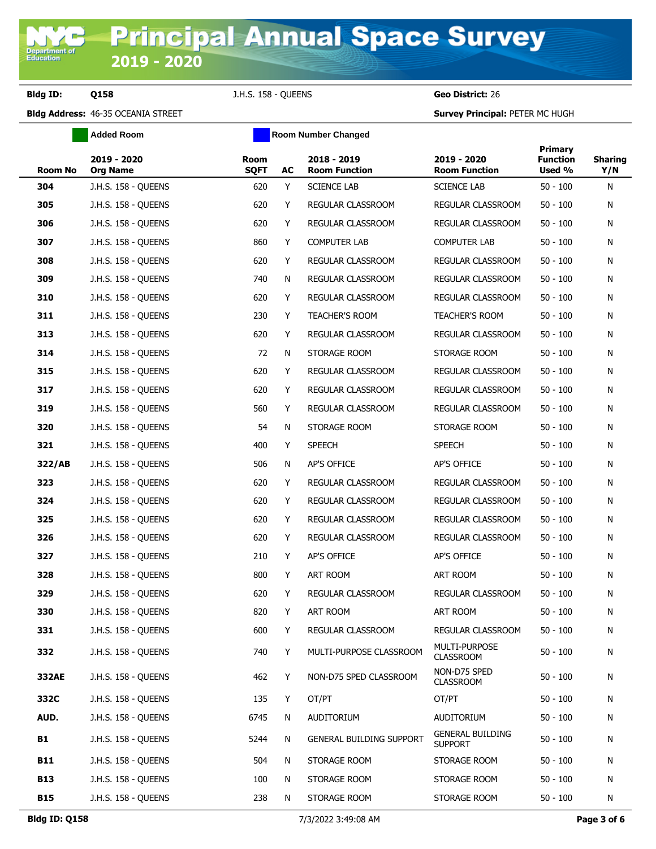**Bldg ID: Q158** J.H.S. 158 - QUEENS **Geo District:** 26

**Added Room Room Room Number Changed** 

**Bldg Address:** 46-35 OCEANIA STREET **Survey Principal:** PETER MC HUGH

| <b>Room No</b> | 2019 - 2020<br><b>Org Name</b> | <b>Room</b><br><b>SQFT</b> | AC | 2018 - 2019<br><b>Room Function</b> | 2019 - 2020<br><b>Room Function</b>       | Primary<br><b>Function</b><br>Used % | <b>Sharing</b><br>Y/N |
|----------------|--------------------------------|----------------------------|----|-------------------------------------|-------------------------------------------|--------------------------------------|-----------------------|
| 304            | J.H.S. 158 - QUEENS            | 620                        | Y  | <b>SCIENCE LAB</b>                  | <b>SCIENCE LAB</b>                        | $50 - 100$                           | N                     |
| 305            | J.H.S. 158 - QUEENS            | 620                        | Y  | REGULAR CLASSROOM                   | REGULAR CLASSROOM                         | $50 - 100$                           | N                     |
| 306            | J.H.S. 158 - QUEENS            | 620                        | Y  | REGULAR CLASSROOM                   | REGULAR CLASSROOM                         | $50 - 100$                           | N                     |
| 307            | J.H.S. 158 - QUEENS            | 860                        | Y  | <b>COMPUTER LAB</b>                 | COMPUTER LAB                              | $50 - 100$                           | N                     |
| 308            | J.H.S. 158 - QUEENS            | 620                        | Y  | REGULAR CLASSROOM                   | REGULAR CLASSROOM                         | $50 - 100$                           | N                     |
| 309            | J.H.S. 158 - QUEENS            | 740                        | N  | REGULAR CLASSROOM                   | REGULAR CLASSROOM                         | $50 - 100$                           | N                     |
| 310            | J.H.S. 158 - OUEENS            | 620                        | Y  | REGULAR CLASSROOM                   | REGULAR CLASSROOM                         | $50 - 100$                           | N                     |
| 311            | J.H.S. 158 - QUEENS            | 230                        | Y  | <b>TEACHER'S ROOM</b>               | <b>TEACHER'S ROOM</b>                     | $50 - 100$                           | N                     |
| 313            | J.H.S. 158 - QUEENS            | 620                        | Y  | REGULAR CLASSROOM                   | REGULAR CLASSROOM                         | $50 - 100$                           | N                     |
| 314            | J.H.S. 158 - OUEENS            | 72                         | N  | STORAGE ROOM                        | STORAGE ROOM                              | $50 - 100$                           | N                     |
| 315            | J.H.S. 158 - QUEENS            | 620                        | Y  | REGULAR CLASSROOM                   | REGULAR CLASSROOM                         | $50 - 100$                           | N                     |
| 317            | J.H.S. 158 - QUEENS            | 620                        | Y  | REGULAR CLASSROOM                   | REGULAR CLASSROOM                         | $50 - 100$                           | N                     |
| 319            | J.H.S. 158 - QUEENS            | 560                        | Y  | REGULAR CLASSROOM                   | REGULAR CLASSROOM                         | $50 - 100$                           | N                     |
| 320            | J.H.S. 158 - QUEENS            | 54                         | N  | STORAGE ROOM                        | STORAGE ROOM                              | $50 - 100$                           | N                     |
| 321            | J.H.S. 158 - QUEENS            | 400                        | Y  | <b>SPEECH</b>                       | <b>SPEECH</b>                             | $50 - 100$                           | N                     |
| 322/AB         | J.H.S. 158 - QUEENS            | 506                        | N  | AP'S OFFICE                         | AP'S OFFICE                               | $50 - 100$                           | N                     |
| 323            | J.H.S. 158 - QUEENS            | 620                        | Y  | REGULAR CLASSROOM                   | REGULAR CLASSROOM                         | $50 - 100$                           | N                     |
| 324            | J.H.S. 158 - QUEENS            | 620                        | Y  | REGULAR CLASSROOM                   | REGULAR CLASSROOM                         | $50 - 100$                           | N                     |
| 325            | J.H.S. 158 - QUEENS            | 620                        | Y  | REGULAR CLASSROOM                   | REGULAR CLASSROOM                         | $50 - 100$                           | N                     |
| 326            | J.H.S. 158 - QUEENS            | 620                        | Y  | REGULAR CLASSROOM                   | REGULAR CLASSROOM                         | $50 - 100$                           | N                     |
| 327            | J.H.S. 158 - QUEENS            | 210                        | Y  | AP'S OFFICE                         | AP'S OFFICE                               | $50 - 100$                           | N                     |
| 328            | J.H.S. 158 - QUEENS            | 800                        | Y  | ART ROOM                            | ART ROOM                                  | $50 - 100$                           | N                     |
| 329            | J.H.S. 158 - QUEENS            | 620                        | Y  | REGULAR CLASSROOM                   | REGULAR CLASSROOM                         | $50 - 100$                           | N                     |
| 330            | J.H.S. 158 - QUEENS            | 820                        | Y  | <b>ART ROOM</b>                     | ART ROOM                                  | $50 - 100$                           | N                     |
| 331            | J.H.S. 158 - QUEENS            | 600                        | Y  | REGULAR CLASSROOM                   | REGULAR CLASSROOM                         | $50 - 100$                           | N                     |
| 332            | J.H.S. 158 - QUEENS            | 740                        | Y  | MULTI-PURPOSE CLASSROOM             | MULTI-PURPOSE<br><b>CLASSROOM</b>         | $50 - 100$                           | N                     |
| <b>332AE</b>   | J.H.S. 158 - QUEENS            | 462                        | Y  | NON-D75 SPED CLASSROOM              | NON-D75 SPED<br><b>CLASSROOM</b>          | $50 - 100$                           | N                     |
| 332C           | J.H.S. 158 - QUEENS            | 135                        | Y  | OT/PT                               | OT/PT                                     | $50 - 100$                           | N                     |
| AUD.           | J.H.S. 158 - QUEENS            | 6745                       | N  | AUDITORIUM                          | AUDITORIUM                                | $50 - 100$                           | N                     |
| <b>B1</b>      | J.H.S. 158 - QUEENS            | 5244                       | N  | <b>GENERAL BUILDING SUPPORT</b>     | <b>GENERAL BUILDING</b><br><b>SUPPORT</b> | $50 - 100$                           | N                     |
| <b>B11</b>     | J.H.S. 158 - QUEENS            | 504                        | N  | STORAGE ROOM                        | STORAGE ROOM                              | $50 - 100$                           | N                     |
| <b>B13</b>     | J.H.S. 158 - QUEENS            | 100                        | N  | STORAGE ROOM                        | STORAGE ROOM                              | $50 - 100$                           | N                     |
| <b>B15</b>     | J.H.S. 158 - QUEENS            | 238                        | N  | STORAGE ROOM                        | STORAGE ROOM                              | $50 - 100$                           | N                     |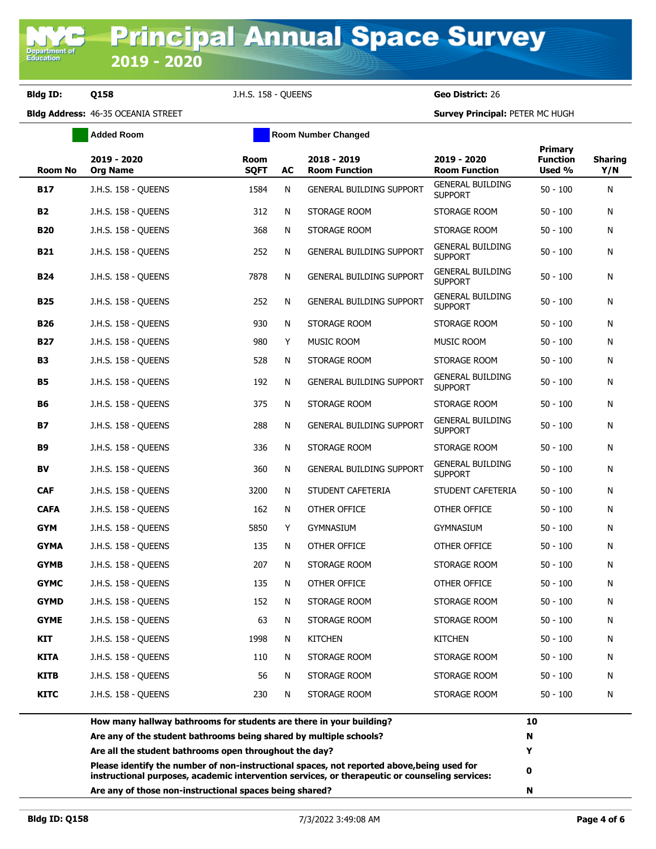**Bldg ID: Q158** J.H.S. 158 - QUEENS **Geo District:** 26

**Bldg Address:** 46-35 OCEANIA STREET **Survey Principal:** PETER MC HUGH

|             | <b>Added Room</b>                                                                                                            |                            |    | <b>Room Number Changed</b>          |                                           |                                             |                       |
|-------------|------------------------------------------------------------------------------------------------------------------------------|----------------------------|----|-------------------------------------|-------------------------------------------|---------------------------------------------|-----------------------|
| Room No     | 2019 - 2020<br><b>Org Name</b>                                                                                               | <b>Room</b><br><b>SQFT</b> | AC | 2018 - 2019<br><b>Room Function</b> | 2019 - 2020<br><b>Room Function</b>       | <b>Primary</b><br><b>Function</b><br>Used % | <b>Sharing</b><br>Y/N |
| <b>B17</b>  | J.H.S. 158 - QUEENS                                                                                                          | 1584                       | N  | <b>GENERAL BUILDING SUPPORT</b>     | <b>GENERAL BUILDING</b><br><b>SUPPORT</b> | $50 - 100$                                  | N                     |
| <b>B2</b>   | J.H.S. 158 - QUEENS                                                                                                          | 312                        | N  | STORAGE ROOM                        | STORAGE ROOM                              | $50 - 100$                                  | N                     |
| <b>B20</b>  | J.H.S. 158 - QUEENS                                                                                                          | 368                        | N  | STORAGE ROOM                        | STORAGE ROOM                              | $50 - 100$                                  | N                     |
| <b>B21</b>  | J.H.S. 158 - OUEENS                                                                                                          | 252                        | N  | <b>GENERAL BUILDING SUPPORT</b>     | <b>GENERAL BUILDING</b><br><b>SUPPORT</b> | $50 - 100$                                  | N                     |
| <b>B24</b>  | J.H.S. 158 - QUEENS                                                                                                          | 7878                       | N  | <b>GENERAL BUILDING SUPPORT</b>     | <b>GENERAL BUILDING</b><br><b>SUPPORT</b> | $50 - 100$                                  | N                     |
| <b>B25</b>  | J.H.S. 158 - QUEENS                                                                                                          | 252                        | N  | <b>GENERAL BUILDING SUPPORT</b>     | <b>GENERAL BUILDING</b><br><b>SUPPORT</b> | $50 - 100$                                  | N                     |
| <b>B26</b>  | J.H.S. 158 - QUEENS                                                                                                          | 930                        | N  | STORAGE ROOM                        | STORAGE ROOM                              | $50 - 100$                                  | N                     |
| <b>B27</b>  | J.H.S. 158 - OUEENS                                                                                                          | 980                        | Y  | MUSIC ROOM                          | MUSIC ROOM                                | $50 - 100$                                  | N                     |
| <b>B3</b>   | J.H.S. 158 - QUEENS                                                                                                          | 528                        | N  | STORAGE ROOM                        | STORAGE ROOM                              | $50 - 100$                                  | N                     |
| <b>B5</b>   | J.H.S. 158 - QUEENS                                                                                                          | 192                        | N  | <b>GENERAL BUILDING SUPPORT</b>     | <b>GENERAL BUILDING</b><br><b>SUPPORT</b> | $50 - 100$                                  | N                     |
| <b>B6</b>   | J.H.S. 158 - QUEENS                                                                                                          | 375                        | N  | STORAGE ROOM                        | STORAGE ROOM                              | $50 - 100$                                  | N                     |
| <b>B7</b>   | J.H.S. 158 - QUEENS                                                                                                          | 288                        | N  | <b>GENERAL BUILDING SUPPORT</b>     | <b>GENERAL BUILDING</b><br><b>SUPPORT</b> | $50 - 100$                                  | N                     |
| <b>B9</b>   | J.H.S. 158 - QUEENS                                                                                                          | 336                        | N  | STORAGE ROOM                        | STORAGE ROOM                              | $50 - 100$                                  | N                     |
| BV          | J.H.S. 158 - QUEENS                                                                                                          | 360                        | N  | <b>GENERAL BUILDING SUPPORT</b>     | <b>GENERAL BUILDING</b><br><b>SUPPORT</b> | $50 - 100$                                  | N                     |
| <b>CAF</b>  | J.H.S. 158 - QUEENS                                                                                                          | 3200                       | N  | STUDENT CAFETERIA                   | STUDENT CAFETERIA                         | $50 - 100$                                  | N                     |
| <b>CAFA</b> | J.H.S. 158 - QUEENS                                                                                                          | 162                        | N  | OTHER OFFICE                        | OTHER OFFICE                              | $50 - 100$                                  | N                     |
| <b>GYM</b>  | J.H.S. 158 - QUEENS                                                                                                          | 5850                       | Y  | <b>GYMNASIUM</b>                    | <b>GYMNASIUM</b>                          | $50 - 100$                                  | N                     |
| <b>GYMA</b> | J.H.S. 158 - QUEENS                                                                                                          | 135                        | N  | OTHER OFFICE                        | OTHER OFFICE                              | $50 - 100$                                  | N                     |
| <b>GYMB</b> | J.H.S. 158 - QUEENS                                                                                                          | 207                        | N  | STORAGE ROOM                        | STORAGE ROOM                              | $50 - 100$                                  | N                     |
| <b>GYMC</b> | J.H.S. 158 - QUEENS                                                                                                          | 135                        | N  | OTHER OFFICE                        | OTHER OFFICE                              | $50 - 100$                                  | N                     |
| GYMD        | J.H.S. 158 - QUEENS                                                                                                          | 152                        | N  | STORAGE ROOM                        | STORAGE ROOM                              | $50 - 100$                                  | Ν                     |
| <b>GYME</b> | J.H.S. 158 - OUEENS                                                                                                          | 63                         | N  | STORAGE ROOM                        | STORAGE ROOM                              | $50 - 100$                                  | N                     |
| KIT         | J.H.S. 158 - OUEENS                                                                                                          | 1998                       | N  | <b>KITCHEN</b>                      | <b>KITCHEN</b>                            | $50 - 100$                                  | N                     |
| <b>KITA</b> | J.H.S. 158 - QUEENS                                                                                                          | 110                        | N  | STORAGE ROOM                        | STORAGE ROOM                              | $50 - 100$                                  | N                     |
| <b>KITB</b> | J.H.S. 158 - QUEENS                                                                                                          | 56                         | N  | STORAGE ROOM                        | STORAGE ROOM                              | $50 - 100$                                  | N                     |
| <b>KITC</b> | J.H.S. 158 - QUEENS                                                                                                          | 230                        | N  | STORAGE ROOM                        | STORAGE ROOM                              | $50 - 100$                                  | N                     |
|             | How many hallway bathrooms for students are there in your building?                                                          |                            |    |                                     |                                           | 10                                          |                       |
|             | Are any of the student bathrooms being shared by multiple schools?<br>Are all the student bathrooms open throughout the day? |                            |    |                                     |                                           | N<br>Y                                      |                       |

**Are any of those non-instructional spaces being shared? N**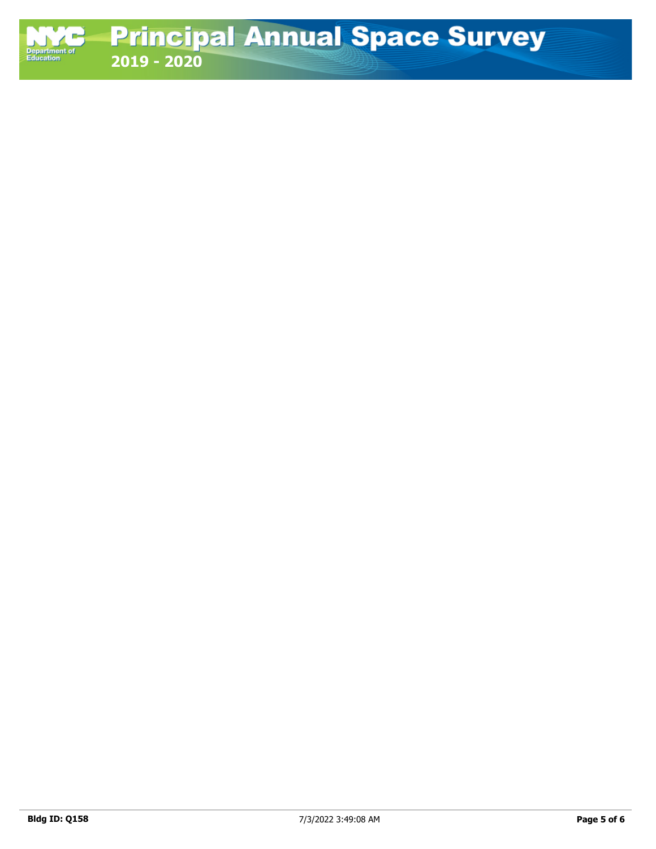